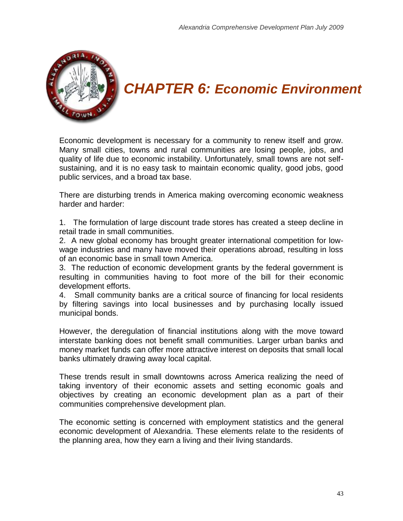

# *CHAPTER 6: Economic Environment*

Economic development is necessary for a community to renew itself and grow. Many small cities, towns and rural communities are losing people, jobs, and quality of life due to economic instability. Unfortunately, small towns are not selfsustaining, and it is no easy task to maintain economic quality, good jobs, good public services, and a broad tax base.

There are disturbing trends in America making overcoming economic weakness harder and harder:

1. The formulation of large discount trade stores has created a steep decline in retail trade in small communities.

2. A new global economy has brought greater international competition for lowwage industries and many have moved their operations abroad, resulting in loss of an economic base in small town America.

3. The reduction of economic development grants by the federal government is resulting in communities having to foot more of the bill for their economic development efforts.

4. Small community banks are a critical source of financing for local residents by filtering savings into local businesses and by purchasing locally issued municipal bonds.

However, the deregulation of financial institutions along with the move toward interstate banking does not benefit small communities. Larger urban banks and money market funds can offer more attractive interest on deposits that small local banks ultimately drawing away local capital.

These trends result in small downtowns across America realizing the need of taking inventory of their economic assets and setting economic goals and objectives by creating an economic development plan as a part of their communities comprehensive development plan.

The economic setting is concerned with employment statistics and the general economic development of Alexandria. These elements relate to the residents of the planning area, how they earn a living and their living standards.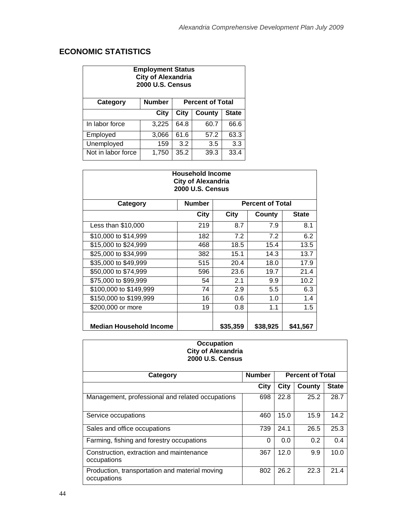## **ECONOMIC STATISTICS**

| <b>Employment Status</b><br><b>City of Alexandria</b><br><b>2000 U.S. Census</b> |               |                         |        |              |  |
|----------------------------------------------------------------------------------|---------------|-------------------------|--------|--------------|--|
| <b>Category</b>                                                                  | <b>Number</b> | <b>Percent of Total</b> |        |              |  |
|                                                                                  | City          | City                    | County | <b>State</b> |  |
| In labor force                                                                   | 3,225         | 64.8                    | 60.7   | 66.6         |  |
| Employed                                                                         | 3,066         | 61.6                    | 57.2   | 63.3         |  |
| Unemployed                                                                       | 159           | 3.2                     | 3.5    | 3.3          |  |
| Not in labor force                                                               | 1,750         | 35.2                    | 39.3   | 33.4         |  |

| <b>Household Income</b><br><b>City of Alexandria</b><br><b>2000 U.S. Census</b> |               |                         |          |              |  |
|---------------------------------------------------------------------------------|---------------|-------------------------|----------|--------------|--|
| <b>Category</b>                                                                 | <b>Number</b> | <b>Percent of Total</b> |          |              |  |
|                                                                                 | <b>City</b>   | City                    | County   | <b>State</b> |  |
| Less than $$10,000$                                                             | 219           | 8.7                     | 7.9      | 8.1          |  |
| \$10,000 to \$14,999                                                            | 182           | 7.2                     | 7.2      | 6.2          |  |
| \$15,000 to \$24,999                                                            | 468           | 18.5                    | 15.4     | 13.5         |  |
| \$25,000 to \$34,999                                                            | 382           | 15.1                    | 14.3     | 13.7         |  |
| \$35,000 to \$49,999                                                            | 515           | 20.4                    | 18.0     | 17.9         |  |
| \$50,000 to \$74,999                                                            | 596           | 23.6                    | 19.7     | 21.4         |  |
| \$75,000 to \$99,999                                                            | 54            | 2.1                     | 9.9      | 10.2         |  |
| \$100,000 to \$149,999                                                          | 74            | 2.9                     | 5.5      | 6.3          |  |
| \$150,000 to \$199,999                                                          | 16            | 0.6                     | 1.0      | 1.4          |  |
| \$200,000 or more                                                               | 19            | 0.8                     | 1.1      | 1.5          |  |
| Median Household Income                                                         |               | \$35,359                | \$38,925 | \$41,567     |  |

#### **Occupation City of Alexandria 2000 U.S. Census**

| Category                                                      | <b>Number</b> | <b>Percent of Total</b> |        |              |  |
|---------------------------------------------------------------|---------------|-------------------------|--------|--------------|--|
|                                                               | City          | City                    | County | <b>State</b> |  |
| Management, professional and related occupations              | 698           | 22.8                    | 25.2   | 28.7         |  |
| Service occupations                                           | 460           | 15.0                    | 15.9   | 14.2         |  |
| Sales and office occupations                                  | 739           | 24.1                    | 26.5   | 25.3         |  |
| Farming, fishing and forestry occupations                     | 0             | 0.0                     | 0.2    | 0.4          |  |
| Construction, extraction and maintenance<br>occupations       | 367           | 12.0                    | 9.9    | 10.0         |  |
| Production, transportation and material moving<br>occupations | 802           | 26.2                    | 22.3   | 21.4         |  |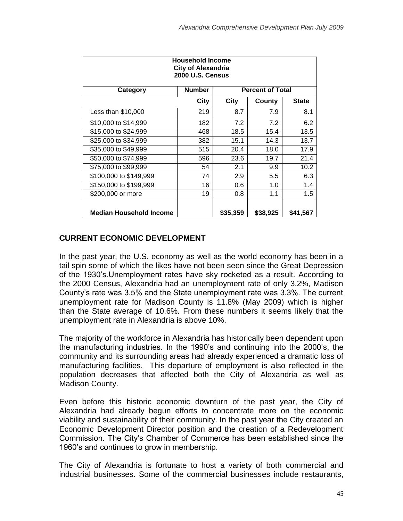| <b>Household Income</b><br><b>City of Alexandria</b><br><b>2000 U.S. Census</b> |               |          |                         |              |  |
|---------------------------------------------------------------------------------|---------------|----------|-------------------------|--------------|--|
| <b>Category</b>                                                                 | <b>Number</b> |          | <b>Percent of Total</b> |              |  |
|                                                                                 | City          | City     | County                  | <b>State</b> |  |
| Less than \$10,000                                                              | 219           | 8.7      | 7.9                     | 8.1          |  |
| \$10,000 to \$14,999                                                            | 182           | 7.2      | 7.2                     | 6.2          |  |
| \$15,000 to \$24,999                                                            | 468           | 18.5     | 15.4                    | 13.5         |  |
| \$25,000 to \$34,999                                                            | 382           | 15.1     | 14.3                    | 13.7         |  |
| \$35,000 to \$49,999                                                            | 515           | 20.4     | 18.0                    | 17.9         |  |
| \$50,000 to \$74,999                                                            | 596           | 23.6     | 19.7                    | 21.4         |  |
| \$75,000 to \$99,999                                                            | 54            | 2.1      | 9.9                     | 10.2         |  |
| \$100,000 to \$149,999                                                          | 74            | 2.9      | $5.5\,$                 | 6.3          |  |
| \$150,000 to \$199,999                                                          | 16            | 0.6      | 1.0                     | 1.4          |  |
| \$200,000 or more                                                               | 19            | 0.8      | 1.1                     | 1.5          |  |
| <b>Median Household Income</b>                                                  |               | \$35,359 | \$38,925                | \$41,567     |  |

#### **CURRENT ECONOMIC DEVELOPMENT**

In the past year, the U.S. economy as well as the world economy has been in a tail spin some of which the likes have not been seen since the Great Depression of the 1930's.Unemployment rates have sky rocketed as a result. According to the 2000 Census, Alexandria had an unemployment rate of only 3.2%, Madison County's rate was 3.5% and the State unemployment rate was 3.3%. The current unemployment rate for Madison County is 11.8% (May 2009) which is higher than the State average of 10.6%. From these numbers it seems likely that the unemployment rate in Alexandria is above 10%.

The majority of the workforce in Alexandria has historically been dependent upon the manufacturing industries. In the 1990's and continuing into the 2000's, the community and its surrounding areas had already experienced a dramatic loss of manufacturing facilities. This departure of employment is also reflected in the population decreases that affected both the City of Alexandria as well as Madison County.

Even before this historic economic downturn of the past year, the City of Alexandria had already begun efforts to concentrate more on the economic viability and sustainability of their community. In the past year the City created an Economic Development Director position and the creation of a Redevelopment Commission. The City's Chamber of Commerce has been established since the 1960's and continues to grow in membership.

The City of Alexandria is fortunate to host a variety of both commercial and industrial businesses. Some of the commercial businesses include restaurants,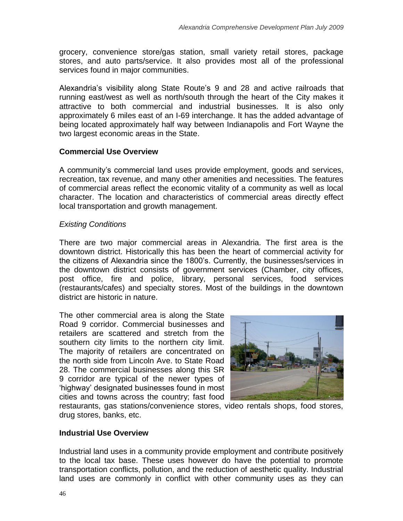grocery, convenience store/gas station, small variety retail stores, package stores, and auto parts/service. It also provides most all of the professional services found in major communities.

Alexandria's visibility along State Route's 9 and 28 and active railroads that running east/west as well as north/south through the heart of the City makes it attractive to both commercial and industrial businesses. It is also only approximately 6 miles east of an I-69 interchange. It has the added advantage of being located approximately half way between Indianapolis and Fort Wayne the two largest economic areas in the State.

#### **Commercial Use Overview**

A community's commercial land uses provide employment, goods and services, recreation, tax revenue, and many other amenities and necessities. The features of commercial areas reflect the economic vitality of a community as well as local character. The location and characteristics of commercial areas directly effect local transportation and growth management.

#### *Existing Conditions*

There are two major commercial areas in Alexandria. The first area is the downtown district. Historically this has been the heart of commercial activity for the citizens of Alexandria since the 1800's. Currently, the businesses/services in the downtown district consists of government services (Chamber, city offices, post office, fire and police, library, personal services, food services (restaurants/cafes) and specialty stores. Most of the buildings in the downtown district are historic in nature.

The other commercial area is along the State Road 9 corridor. Commercial businesses and retailers are scattered and stretch from the southern city limits to the northern city limit. The majority of retailers are concentrated on the north side from Lincoln Ave. to State Road 28. The commercial businesses along this SR 9 corridor are typical of the newer types of 'highway' designated businesses found in most cities and towns across the country; fast food



restaurants, gas stations/convenience stores, video rentals shops, food stores, drug stores, banks, etc.

#### **Industrial Use Overview**

Industrial land uses in a community provide employment and contribute positively to the local tax base. These uses however do have the potential to promote transportation conflicts, pollution, and the reduction of aesthetic quality. Industrial land uses are commonly in conflict with other community uses as they can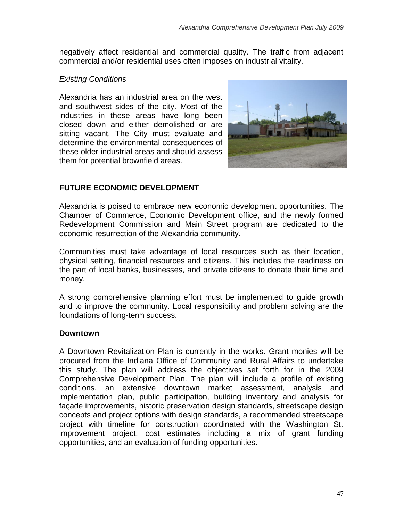negatively affect residential and commercial quality. The traffic from adjacent commercial and/or residential uses often imposes on industrial vitality.

#### *Existing Conditions*

Alexandria has an industrial area on the west and southwest sides of the city. Most of the industries in these areas have long been closed down and either demolished or are sitting vacant. The City must evaluate and determine the environmental consequences of these older industrial areas and should assess them for potential brownfield areas.



### **FUTURE ECONOMIC DEVELOPMENT**

Alexandria is poised to embrace new economic development opportunities. The Chamber of Commerce, Economic Development office, and the newly formed Redevelopment Commission and Main Street program are dedicated to the economic resurrection of the Alexandria community.

Communities must take advantage of local resources such as their location, physical setting, financial resources and citizens. This includes the readiness on the part of local banks, businesses, and private citizens to donate their time and money.

A strong comprehensive planning effort must be implemented to guide growth and to improve the community. Local responsibility and problem solving are the foundations of long-term success.

#### **Downtown**

A Downtown Revitalization Plan is currently in the works. Grant monies will be procured from the Indiana Office of Community and Rural Affairs to undertake this study. The plan will address the objectives set forth for in the 2009 Comprehensive Development Plan. The plan will include a profile of existing conditions, an extensive downtown market assessment, analysis and implementation plan, public participation, building inventory and analysis for façade improvements, historic preservation design standards, streetscape design concepts and project options with design standards, a recommended streetscape project with timeline for construction coordinated with the Washington St. improvement project, cost estimates including a mix of grant funding opportunities, and an evaluation of funding opportunities.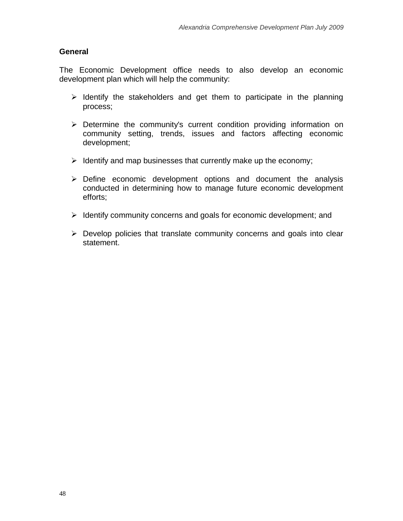#### **General**

The Economic Development office needs to also develop an economic development plan which will help the community:

- $\triangleright$  Identify the stakeholders and get them to participate in the planning process;
- $\triangleright$  Determine the community's current condition providing information on community setting, trends, issues and factors affecting economic development;
- $\triangleright$  Identify and map businesses that currently make up the economy;
- $\triangleright$  Define economic development options and document the analysis conducted in determining how to manage future economic development efforts;
- $\triangleright$  Identify community concerns and goals for economic development; and
- $\triangleright$  Develop policies that translate community concerns and goals into clear statement.